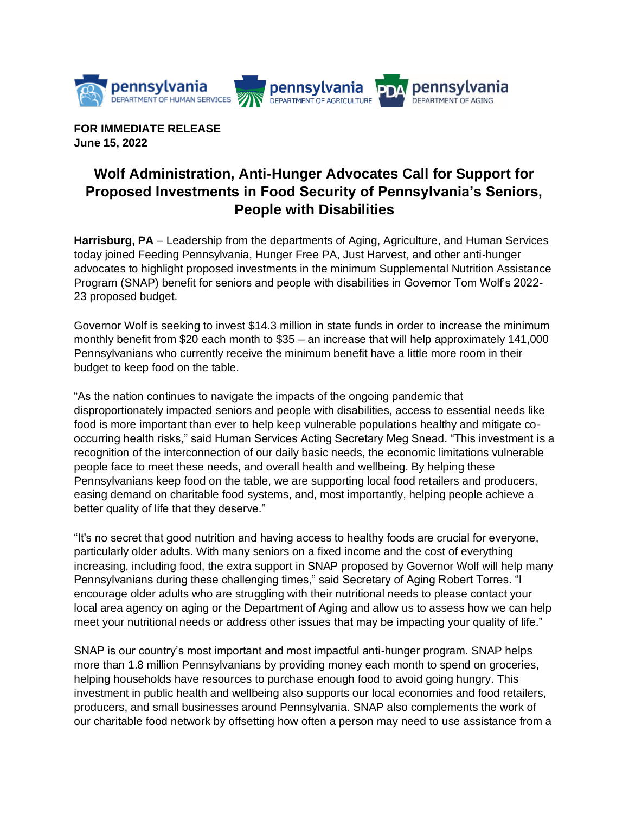

**FOR IMMEDIATE RELEASE June 15, 2022**

## **Wolf Administration, Anti-Hunger Advocates Call for Support for Proposed Investments in Food Security of Pennsylvania's Seniors, People with Disabilities**

**Harrisburg, PA** – Leadership from the departments of Aging, Agriculture, and Human Services today joined Feeding Pennsylvania, Hunger Free PA, Just Harvest, and other anti-hunger advocates to highlight proposed investments in the minimum Supplemental Nutrition Assistance Program (SNAP) benefit for seniors and people with disabilities in Governor Tom Wolf's 2022- 23 proposed budget.

Governor Wolf is seeking to invest \$14.3 million in state funds in order to increase the minimum monthly benefit from \$20 each month to \$35 – an increase that will help approximately 141,000 Pennsylvanians who currently receive the minimum benefit have a little more room in their budget to keep food on the table.

"As the nation continues to navigate the impacts of the ongoing pandemic that disproportionately impacted seniors and people with disabilities, access to essential needs like food is more important than ever to help keep vulnerable populations healthy and mitigate cooccurring health risks," said Human Services Acting Secretary Meg Snead. "This investment is a recognition of the interconnection of our daily basic needs, the economic limitations vulnerable people face to meet these needs, and overall health and wellbeing. By helping these Pennsylvanians keep food on the table, we are supporting local food retailers and producers, easing demand on charitable food systems, and, most importantly, helping people achieve a better quality of life that they deserve."

"It's no secret that good nutrition and having access to healthy foods are crucial for everyone, particularly older adults. With many seniors on a fixed income and the cost of everything increasing, including food, the extra support in SNAP proposed by Governor Wolf will help many Pennsylvanians during these challenging times," said Secretary of Aging Robert Torres. "I encourage older adults who are struggling with their nutritional needs to please contact your local area agency on aging or the Department of Aging and allow us to assess how we can help meet your nutritional needs or address other issues that may be impacting your quality of life."

SNAP is our country's most important and most impactful anti-hunger program. SNAP helps more than 1.8 million Pennsylvanians by providing money each month to spend on groceries, helping households have resources to purchase enough food to avoid going hungry. This investment in public health and wellbeing also supports our local economies and food retailers, producers, and small businesses around Pennsylvania. SNAP also complements the work of our charitable food network by offsetting how often a person may need to use assistance from a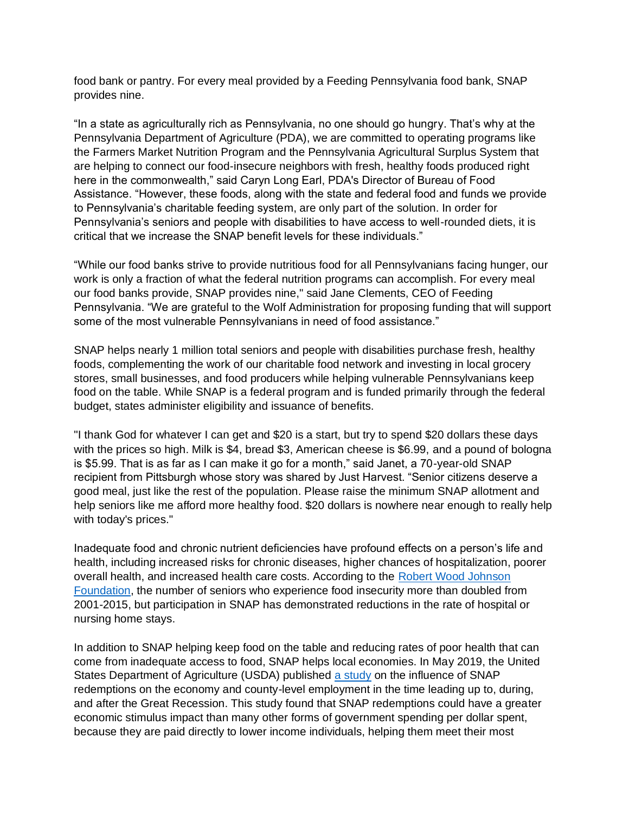food bank or pantry. For every meal provided by a Feeding Pennsylvania food bank, SNAP provides nine.

"In a state as agriculturally rich as Pennsylvania, no one should go hungry. That's why at the Pennsylvania Department of Agriculture (PDA), we are committed to operating programs like the Farmers Market Nutrition Program and the Pennsylvania Agricultural Surplus System that are helping to connect our food-insecure neighbors with fresh, healthy foods produced right here in the commonwealth," said Caryn Long Earl, PDA's Director of Bureau of Food Assistance. "However, these foods, along with the state and federal food and funds we provide to Pennsylvania's charitable feeding system, are only part of the solution. In order for Pennsylvania's seniors and people with disabilities to have access to well-rounded diets, it is critical that we increase the SNAP benefit levels for these individuals."

"While our food banks strive to provide nutritious food for all Pennsylvanians facing hunger, our work is only a fraction of what the federal nutrition programs can accomplish. For every meal our food banks provide, SNAP provides nine," said Jane Clements, CEO of Feeding Pennsylvania. "We are grateful to the Wolf Administration for proposing funding that will support some of the most vulnerable Pennsylvanians in need of food assistance."

SNAP helps nearly 1 million total seniors and people with disabilities purchase fresh, healthy foods, complementing the work of our charitable food network and investing in local grocery stores, small businesses, and food producers while helping vulnerable Pennsylvanians keep food on the table. While SNAP is a federal program and is funded primarily through the federal budget, states administer eligibility and issuance of benefits.

"I thank God for whatever I can get and \$20 is a start, but try to spend \$20 dollars these days with the prices so high. Milk is \$4, bread \$3, American cheese is \$6.99, and a pound of bologna is \$5.99. That is as far as I can make it go for a month," said Janet, a 70-year-old SNAP recipient from Pittsburgh whose story was shared by Just Harvest. "Senior citizens deserve a good meal, just like the rest of the population. Please raise the minimum SNAP allotment and help seniors like me afford more healthy food. \$20 dollars is nowhere near enough to really help with today's prices."

Inadequate food and chronic nutrient deficiencies have profound effects on a person's life and health, including increased risks for chronic diseases, higher chances of hospitalization, poorer overall health, and increased health care costs. According to the Robert Wood Johnson [Foundation,](https://www.rwjf.org/en/blog/2018/01/how-snap-benefits-seniors-and-health-cares-bottom-line.html#:~:text=New%20research%20shows%20that%20seniors,costs%20and%20improve%20health%20outcomes.) the number of seniors who experience food insecurity more than doubled from 2001-2015, but participation in SNAP has demonstrated reductions in the rate of hospital or nursing home stays.

In addition to SNAP helping keep food on the table and reducing rates of poor health that can come from inadequate access to food, SNAP helps local economies. In May 2019, the United States Department of Agriculture (USDA) published [a study](https://www.ers.usda.gov/webdocs/publications/93169/err-263.pdf?v=1509.3) on the influence of SNAP redemptions on the economy and county-level employment in the time leading up to, during, and after the Great Recession. This study found that SNAP redemptions could have a greater economic stimulus impact than many other forms of government spending per dollar spent, because they are paid directly to lower income individuals, helping them meet their most